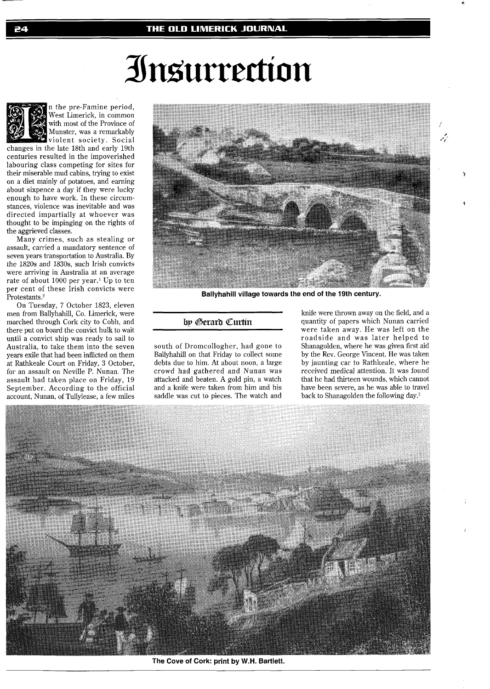# Insurrection



n the pre-Famine period, West Limerick, in common with most of the Province of Munster, was a remarkably violent society. Social

changes in the late 18th and karly 19th centuries resulted in the impoverished labouring class competing for sites for their miserable mud cabins, trying to exist on a diet mainly of potatoes, and earning about sixpence a day if they were lucky enough to have work. In these circumstances, violence was inevitable and was directed impartially at whoever was thought to be impinging on the rights of the aggrieved classes.

Many crimes, such as stealing or assault, carried a mandatory sentence of seven years transportation to Australia. By the 1820s and 1830s, such Irish convicts were arriving in Australia at an average rate of about 1000 per year.' Up to ten per cent of these Irish convicts were Protestants.<sup>2</sup>

On Tuesday, 7 October 1823, eleven men from Ballyhahill, Co. Limerick, were marched through Cork city to Cobh, and there put on board the convict hulk to wait until a convict ship was ready to sail to Australia, to take them into the seven years exile that had been inflicted on them at Rathkeale Court on Friday, **3** October, for an assault on Neville P. Nunan. The assault had taken place on Friday, 19 September. According to the official account, Nunan, of Tullylease, a few miles



**Ballyhahill village towards the end of the 19th century.** 

## by Gerard Curtin

south of Dromcollogher, had gone to Ballyhahill on that Friday to collect some debts due to him. At about noon, a large crowd had gathered and Nunan was attacked and beaten. A gold pin, a watch and a knife were taken from him and his saddle was cut to pieces. The watch and

knife were thrown away on the field, and a quantity of papers which Nunan carried were taken away. He was left on the roadside and was later helped to Shanagolden, where he was given first aid by the Rev. George Vincent. He was taken by jaunting car to Rathkeale, where he received medical attention. It was found that he had thirteen wounds, which cannot have been severe, as he was able to travel back to Shanagolden the following day.3

يرمو



**The Cove of Cork: print by W.H. Bartlett.**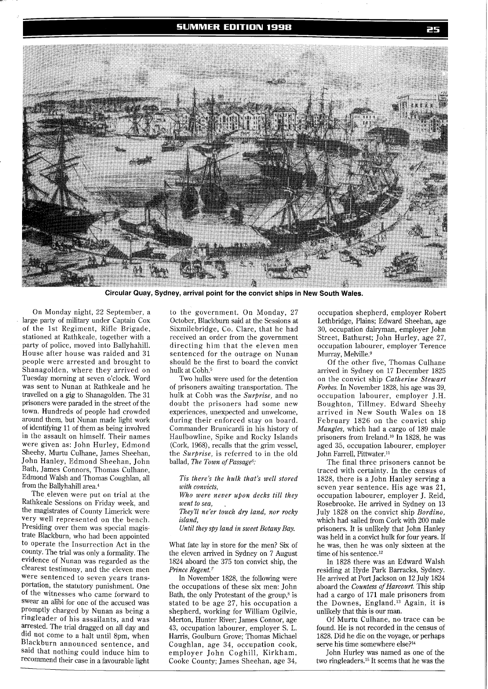### **SUMMER EDITION 1998**



**Circular Quay, Sydney, arrival point for the convict ships in New South Wales.** 

On Monday night, 22 September, a large party of military under Captain Cox of the 1st Regiment, Rifle Brigade, stationed at Rathkeale, together with a party of police, moved into Ballyhahill. House after house was raided and 31 people were arrested and brought to Shanagolden, where they arrived on Tuesday morning at seven o'clock. Word was sent to Nunan at Rathkeale and he travelled on a gig to Shanagolden. The 31 prisoners were paraded in the street of the town. Hundreds of people had crowded around them, but Nunan made light work of identifying 11 of them as being involved in the assault on himself. Their names were given as: John Hurley, Edmond Sheehy, Murtu Culhane, James Sheehan, John Hanley, Edmond Sheehan, John Bath, James Connors, Thomas Culhane, Edmond Walsh and Thomas Coughlan, all from the Ballyhahill area.<sup>4</sup>

The eleven were put on trial at the Rathkeale Sessions on Friday week, and the magistrates of County Limerick were very well represented on the bench. Presiding over them was special magistrate Blackburn, who had been appointed to operate the Insurrection Act in the county. The trial was only a formality. The evidence of Nunan was regarded as the clearest testimony, and the eleven men were sentenced to seven years trans-Portation, the statutory punishment. One of the witnesses who came forward to Swear an alibi for one of the accused was promptly charged by Nunan as being a ringleader of his assailants, and was arrested. The trial dragged on all day and did not come to a halt until 8pm, when Blackburn announced sentence, and said that nothing could induce him to recommend their case in a favourable light

to the government. On Monday, 27 October, Blackburn said at the Sessions at Sixmilebridge, Co. Clare, that he had received an order from the government directing him that the eleven men sentenced for the outrage on Nunan should be the first to board the convict hulk at Cobh.<sup>5</sup>

Two hulks were used for the detention of prisoners awaiting transportation. The hulk at Cobh was the *Surprise,* and no doubt the prisoners had some new experiences, unexpected and unwelcome, during their enforced stay on board. Commander Brunicardi in his history of Haulbowline, Spike and Rocky Islands (Cork, 1968), recalls that the grim vessel, the *Surprise,* is referred to in the old ballad, *The Town of Passage6:* 

*Tis there's the hulk that's well stored with convicts,* 

*Who were never upon decks till they went to sea,* 

*They'll ne'er touch dry land, nor rocky island,* 

*Until they spy land in sweet Botany Bay.* 

What fate lay in store for the men? Six of the eleven arrived in Sydney on 7 August 1824 aboard the 375 ton convict ship, the *Pm'nce Regent.?* 

In November 1828, the following were the occupations of these six men: John Bath, the only Protestant of the group, $8$  is stated to be age 27, his occupation a shepherd, working for William Ogilvie, Merton, Hunter River; James Connor, age 43, occupation labourer, employer S. L. Harris, Goulburn Grove; Thomas Michael Coughlan, age 34, occupation cook, employer John Coghill, Kirkham, Cooke County; James Sheehan, age 34,

occupation shepherd, employer Robert Lethbridge, Plains; Edward Sheehan, age 30, occupation dairyman, employer John Street, Bathurst; John Hurley, age 27, occupation labourer, employer Terence Murray, Melville.<sup>9</sup>

Of the other five, Thomas Culhane arrived in Sydney on 17 December 1825 on the convict ship *Catherine Stewart Forbes.* In November 1828, his age was 39, occupation labourer, employer J.H. Boughton, Tillmey. Edward Sheehy arrived in New South Wales on 18 February 1826 on the convict ship *Mangles,* which had a cargo of 189 male prisoners from Ireland.<sup>10</sup> In 1828, he was aged 35, occupation labourer, employer John Farrell, Pittwater.11

The final three prisoners cannot be traced with certainty. In the census of 1828, there is a John Hanley serving a seven year sentence. His age was 21, occupation labourer, employer J. Reid, Rosebrooke. He arrived in Sydney on 13 July 1828 on the convict ship *Bordino,*  which had sailed from Cork with 200 male prisoners. It is unlikely that John Hanley was held in a convict hulk for four years. If he was, then he was only sixteen at the time of his sentence.<sup>12</sup>

In 1828 there was an Edward Walsh residing at Hyde Park Barracks, Sydney. He arrived at Port Jackson on 12 July 1824 aboard the *Countess of Harcourt.* This ship had a cargo of 171 male prisoners from the Downes, England.13 Again, it is unlikely that this is our man.

Of Murtu Culhane, no trace can be found. He is not recorded in the census of 1828. Did he die on the voyage, or perhaps serve his time somewhere else?<sup>14</sup>

John Hurley was named as one of the two ringleaders.15 It seems that he was the